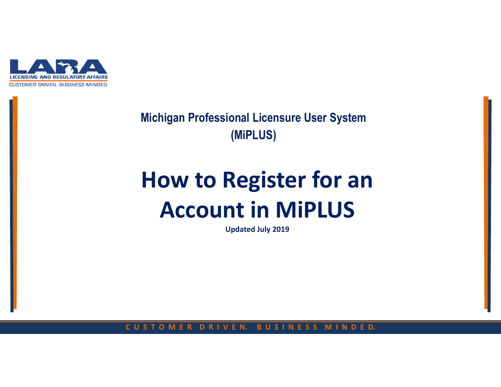

**Michigan Professional Licensure User System (MiPLUS)**

# **How to Register for an Account in MiPLUS**

**Updated July 2019**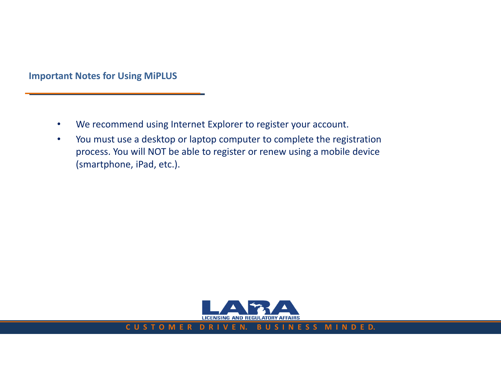**Important Notes for Using MiPLUS**

- •We recommend using Internet Explorer to register your account.
- • You must use a desktop or laptop computer to complete the registration process. You will NOT be able to register or renew using a mobile device (smartphone, iPad, etc.).

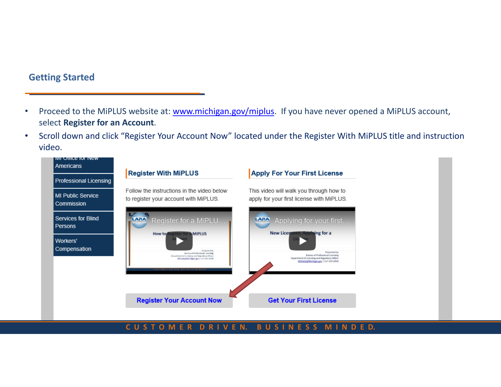## **Getting Started**

- •Proceed to the MiPLUS website at: www.michigan.gov/miplus. If you have never opened a MiPLUS account, select **Register for an Account**.
- • Scroll down and click "Register Your Account Now" located under the Register With MiPLUS title and instruction video.

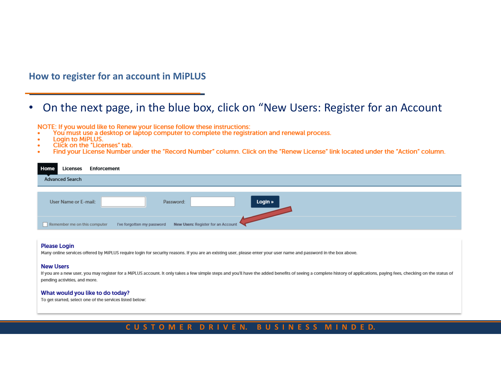#### **How to register for an account in MiPLUS**

#### $\bullet$ On the next page, in the blue box, click on "New Users: Register for an Account

NOTE: If you would like to Renew your license follow these instructions:

- You must use a desktop or laptop computer to complete the registration and renewal process.
- **Login to MiPLUS.**
- Click on the "Licenses" tab.  $\ddot{\phantom{a}}$
- Find your License Number under the "Record Number" column. Click on the "Renew License" link located under the "Action" column.

| Home | Licenses                     | Enforcement |           |                                                               |         |  |  |  |
|------|------------------------------|-------------|-----------|---------------------------------------------------------------|---------|--|--|--|
|      | <b>Advanced Search</b>       |             |           |                                                               |         |  |  |  |
|      |                              |             |           |                                                               |         |  |  |  |
|      | User Name or E-mail:         |             | Password: |                                                               | Login » |  |  |  |
|      |                              |             |           |                                                               |         |  |  |  |
|      | Remember me on this computer |             |           | I've forgotten my password New Users: Register for an Account |         |  |  |  |

#### **Please Login**

Many online services offered by MiPLUS require login for security reasons. If you are an existing user, please enter your user name and password in the box above.

#### **New Users**

If you are a new user, you may register for a MiPLUS account. It only takes a few simple steps and you'll have the added benefits of seeing a complete history of applications, paying fees, checking on the status of pending activities, and more.

#### What would you like to do today?

To get started, select one of the services listed below:

**C U S T O M E R D R I V E N. B U S I N E S S M I N D E D.**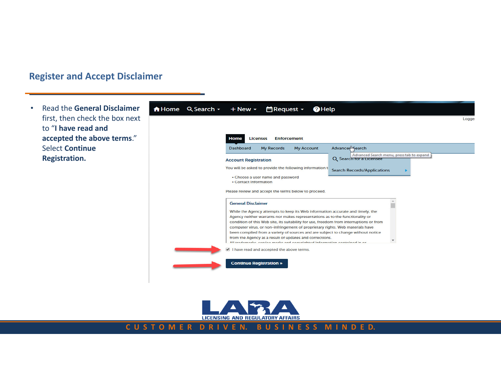#### **Register and Accept Disclaimer**

• Read the **General Disclaimer**  first, then check the box next to "**I have read and accepted the above terms**." Select **Continue Registration.**



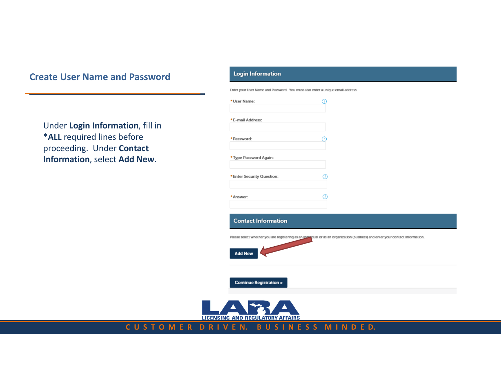## **Create User Name and Password**

Under **Login Information**, fill in \***ALL** required lines before proceeding. Under **Contact Information**, select **Add New**.

**C U S T O M E R** 

#### **Login Information**

Enter your User Name and Password. You must also enter a unique email address

|           | *User Name:<br>⋒                                                                                                                                              |
|-----------|---------------------------------------------------------------------------------------------------------------------------------------------------------------|
|           | * E-mail Address:                                                                                                                                             |
|           | * Password:                                                                                                                                                   |
|           | * Type Password Again:                                                                                                                                        |
|           | * Enter Security Question:<br>7                                                                                                                               |
| * Answer: | ⊚                                                                                                                                                             |
|           | <b>Contact Information</b><br>Please select whether you are registering as an individual or as an organization (business) and enter your contact information. |
|           | <b>Add New</b>                                                                                                                                                |
|           | Continue Registration »                                                                                                                                       |
|           |                                                                                                                                                               |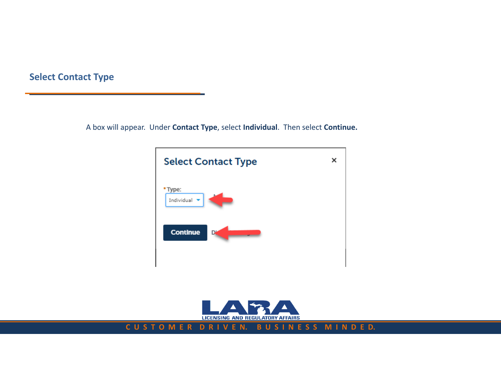## **Select Contact Type**

A box will appear. Under **Contact Type**, select **Individual**. Then select **Continue.**



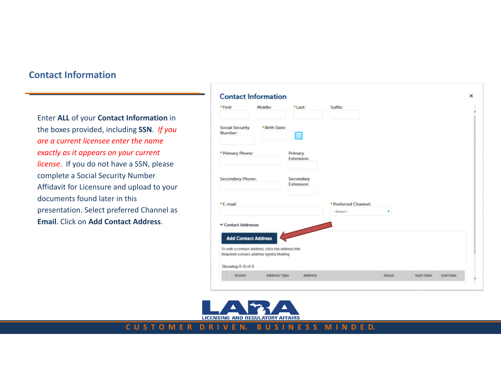## **Contact Information**

Enter **ALL** of your **Contact Information** in the boxes provided, including **SSN**. *If you are a current licensee enter the name exactly as it appears on your current license*. If you do not have a SSN, please complete a Social Security Number Affidavit for Licensure and upload to your documents found later in this presentation. Select preferred Channel as **Email**. Click on **Add Contact Address**.

| * First:                                                     | Middle:                                            | *Last:                  | Suffix:              |  |  |  |
|--------------------------------------------------------------|----------------------------------------------------|-------------------------|----------------------|--|--|--|
| <b>Social Security</b><br>Number:                            | *Birth Date:                                       | E                       |                      |  |  |  |
| * Primary Phone:                                             |                                                    | Primary<br>Extension:   |                      |  |  |  |
| Secondary Phone:                                             |                                                    | Secondary<br>Extension: |                      |  |  |  |
| *E-mail:                                                     |                                                    |                         | * Preferred Channel: |  |  |  |
|                                                              |                                                    |                         | $-Select-$           |  |  |  |
| <b>▼ Contact Addresses</b><br><b>Add Contact Address</b>     | To edit a contact address, click the address link. |                         |                      |  |  |  |
|                                                              |                                                    |                         |                      |  |  |  |
| Required contact address type(s):Malling<br>Showing 0-0 of 0 |                                                    |                         |                      |  |  |  |



**C U S T O M E R D R I V E N. B U S I N E S S M I N D E D.**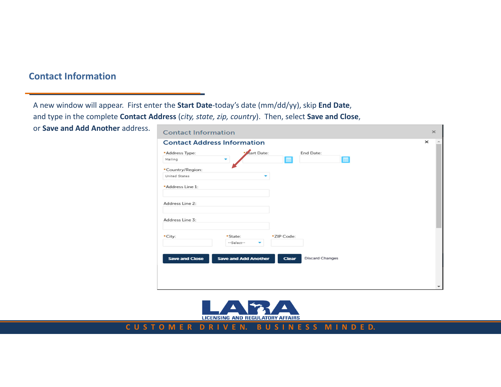## **Contact Information**

A new window will appear. First enter the **Start Date**‐today's date (mm/dd/yy), skip **End Date**, and type in the complete **Contact Address** (*city, state, zip, country*). Then, select **Save and Close**,

or **Save and Add Another** address.

| <b>Contact Address Information</b><br>$\times$<br>* fart Date:<br>End Date:<br>*Address Type:<br>扁<br>E<br>Mailing<br>$\mathbf{v}$<br>*Country/Region:<br>United States<br>۰<br>*Address Line 1:<br>Address Line 2:<br>Address Line 3:<br>*ZIP Code:<br>*City:<br>*State:<br>--Select--<br>$\overline{\phantom{a}}$<br><b>Save and Add Another</b><br><b>Discard Changes</b><br><b>Save and Close</b><br><b>Clear</b> | <b>Contact Information</b> |  | $\times$ |
|-----------------------------------------------------------------------------------------------------------------------------------------------------------------------------------------------------------------------------------------------------------------------------------------------------------------------------------------------------------------------------------------------------------------------|----------------------------|--|----------|
|                                                                                                                                                                                                                                                                                                                                                                                                                       |                            |  |          |
|                                                                                                                                                                                                                                                                                                                                                                                                                       |                            |  |          |
|                                                                                                                                                                                                                                                                                                                                                                                                                       |                            |  |          |
|                                                                                                                                                                                                                                                                                                                                                                                                                       |                            |  |          |
|                                                                                                                                                                                                                                                                                                                                                                                                                       |                            |  |          |
|                                                                                                                                                                                                                                                                                                                                                                                                                       |                            |  |          |
|                                                                                                                                                                                                                                                                                                                                                                                                                       |                            |  |          |
|                                                                                                                                                                                                                                                                                                                                                                                                                       |                            |  |          |
|                                                                                                                                                                                                                                                                                                                                                                                                                       |                            |  |          |
|                                                                                                                                                                                                                                                                                                                                                                                                                       |                            |  |          |
|                                                                                                                                                                                                                                                                                                                                                                                                                       |                            |  |          |
|                                                                                                                                                                                                                                                                                                                                                                                                                       |                            |  |          |
|                                                                                                                                                                                                                                                                                                                                                                                                                       |                            |  |          |
|                                                                                                                                                                                                                                                                                                                                                                                                                       |                            |  |          |

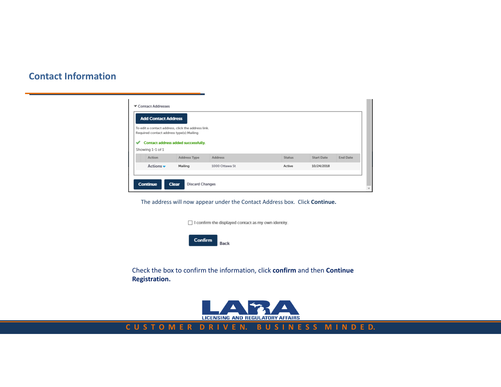## **Contact Information**

| <b>Add Contact Address</b>                                    |                                                                                           |                |               |                   |                 |
|---------------------------------------------------------------|-------------------------------------------------------------------------------------------|----------------|---------------|-------------------|-----------------|
| Required contact address type(s): Mailing<br>Showing 1-1 of 1 | To edit a contact address, click the address link.<br>Contact address added successfully. |                |               |                   |                 |
| Action                                                        | <b>Address Type</b>                                                                       | <b>Address</b> | <b>Status</b> | <b>Start Date</b> | <b>End Date</b> |
|                                                               |                                                                                           |                |               |                   |                 |

The address will now appear under the Contact Address box. Click **Continue.**





Check the box to confirm the information, click **confirm** and then **Continue Registration.** 

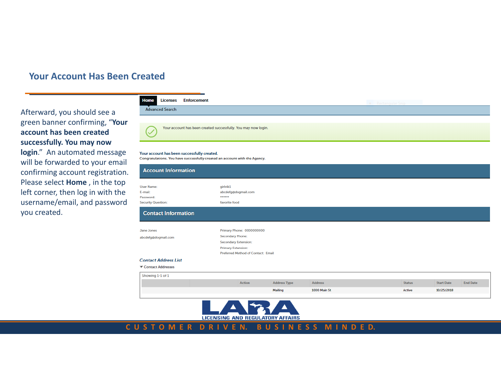#### **Your Account Has Been Created**

Afterward, you should see a green banner confirming, "**Your account has been created successfully. You may now login**." An automated message will be forwarded to your email confirming account registration. Please select **Home** , in the top left corner, then log in with the username/email, and password you created.

| <b>Home</b><br><b>Licenses</b><br><b>Enforcement</b>                                                                      |                                                                 |                     |                | • Rectangular Snip |                   |                 |
|---------------------------------------------------------------------------------------------------------------------------|-----------------------------------------------------------------|---------------------|----------------|--------------------|-------------------|-----------------|
| <b>Advanced Search</b>                                                                                                    |                                                                 |                     |                |                    |                   |                 |
|                                                                                                                           |                                                                 |                     |                |                    |                   |                 |
|                                                                                                                           | Your account has been created successfully. You may now login.  |                     |                |                    |                   |                 |
| Your account has been successfully created.<br>Congratulations. You have successfully created an account with the Agency. |                                                                 |                     |                |                    |                   |                 |
| <b>Account Information</b>                                                                                                |                                                                 |                     |                |                    |                   |                 |
| <b>User Name:</b>                                                                                                         | qirlnik1                                                        |                     |                |                    |                   |                 |
| E-mail:<br>Password:                                                                                                      | abcdefg@dogmail.com<br>******                                   |                     |                |                    |                   |                 |
| <b>Security Question:</b>                                                                                                 | favorite food                                                   |                     |                |                    |                   |                 |
| <b>Contact Information</b>                                                                                                |                                                                 |                     |                |                    |                   |                 |
| Jane Jones                                                                                                                | Primary Phone: 0000000000                                       |                     |                |                    |                   |                 |
| abcdefg@dogmail.com                                                                                                       | <b>Secondary Phone:</b>                                         |                     |                |                    |                   |                 |
|                                                                                                                           | <b>Secondary Extension:</b>                                     |                     |                |                    |                   |                 |
|                                                                                                                           | <b>Primary Extension:</b><br>Preferred Method of Contact: Email |                     |                |                    |                   |                 |
| <b>Contact Address List</b>                                                                                               |                                                                 |                     |                |                    |                   |                 |
| Contact Addresses                                                                                                         |                                                                 |                     |                |                    |                   |                 |
| Showing 1-1 of 1                                                                                                          |                                                                 |                     |                |                    |                   |                 |
|                                                                                                                           | <b>Action</b>                                                   | <b>Address Type</b> | <b>Address</b> | <b>Status</b>      | <b>Start Date</b> | <b>End Date</b> |
|                                                                                                                           |                                                                 | Mailing             | 1000 Main St   | Active             | 10/25/2018        |                 |
|                                                                                                                           | <b>LICENSING AND REGULATORY AFFAIRS</b>                         |                     |                |                    |                   |                 |